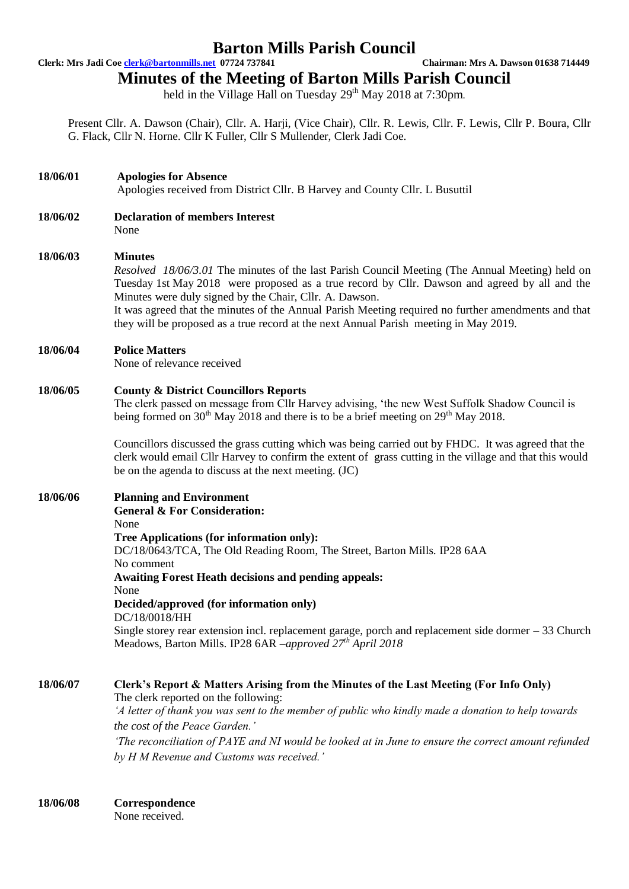## **Barton Mills Parish Council**

**Clerk: Mrs Jadi Coe clerk@bartonmills.net 07724 737841 Chairman: Mrs A. Dawson 01638 714449**

**Minutes of the Meeting of Barton Mills Parish Council**

held in the Village Hall on Tuesday 29<sup>th</sup> May 2018 at 7:30pm.

Present Cllr. A. Dawson (Chair), Cllr. A. Harji, (Vice Chair), Cllr. R. Lewis, Cllr. F. Lewis, Cllr P. Boura, Cllr G. Flack, Cllr N. Horne. Cllr K Fuller, Cllr S Mullender, Clerk Jadi Coe.

### **18/06/01 Apologies for Absence**

Apologies received from District Cllr. B Harvey and County Cllr. L Busuttil

**18/06/02 Declaration of members Interest** None

#### **18/06/03 Minutes**

*Resolved 18/06/3.01* The minutes of the last Parish Council Meeting (The Annual Meeting) held on Tuesday 1st May 2018 were proposed as a true record by Cllr. Dawson and agreed by all and the Minutes were duly signed by the Chair, Cllr. A. Dawson.

It was agreed that the minutes of the Annual Parish Meeting required no further amendments and that they will be proposed as a true record at the next Annual Parish meeting in May 2019.

#### **18/06/04 Police Matters**

None of relevance received

#### **18/06/05 County & District Councillors Reports**

The clerk passed on message from Cllr Harvey advising, 'the new West Suffolk Shadow Council is being formed on  $30<sup>th</sup>$  May 2018 and there is to be a brief meeting on  $29<sup>th</sup>$  May 2018.

Councillors discussed the grass cutting which was being carried out by FHDC. It was agreed that the clerk would email Cllr Harvey to confirm the extent of grass cutting in the village and that this would be on the agenda to discuss at the next meeting. (JC)

#### **18/06/06 Planning and Environment General & For Consideration:** None **Tree Applications (for information only):** DC/18/0643/TCA, The Old Reading Room, The Street, Barton Mills. IP28 6AA No comment **Awaiting Forest Heath decisions and pending appeals:** None **Decided/approved (for information only)** DC/18/0018/HH Single storey rear extension incl. replacement garage, porch and replacement side dormer – 33 Church Meadows, Barton Mills. IP28 6AR –*approved 27th April 2018*

**18/06/07 Clerk's Report & Matters Arising from the Minutes of the Last Meeting (For Info Only)** The clerk reported on the following: *'A letter of thank you was sent to the member of public who kindly made a donation to help towards the cost of the Peace Garden.' 'The reconciliation of PAYE and NI would be looked at in June to ensure the correct amount refunded by H M Revenue and Customs was received.'*

**18/06/08 Correspondence**

None received.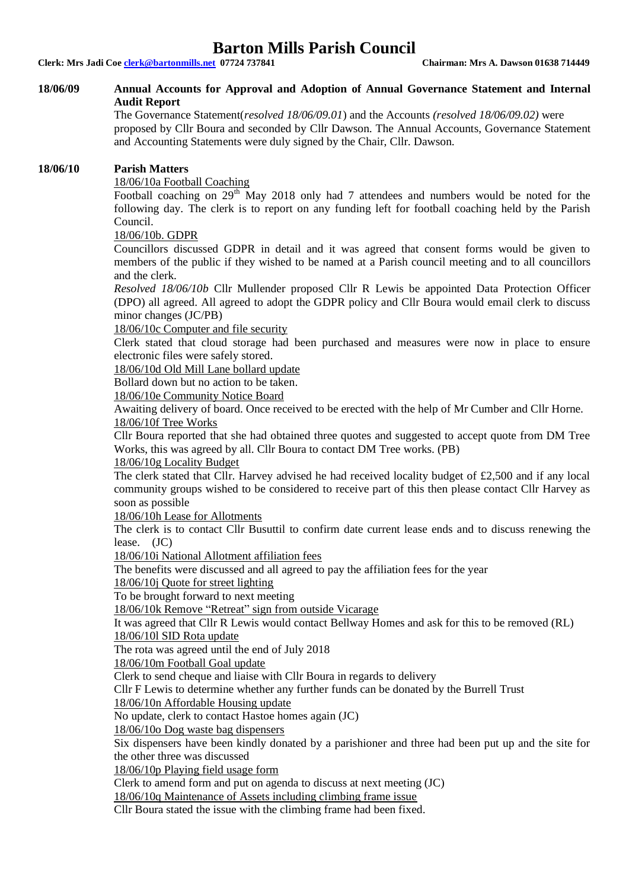## **Barton Mills Parish Council**

**Clerk: Mrs Jadi Coe clerk@bartonmills.net 07724 737841 Chairman: Mrs A. Dawson 01638 714449**

#### **18/06/09 Annual Accounts for Approval and Adoption of Annual Governance Statement and Internal Audit Report**

The Governance Statement(*resolved 18/06/09.01*) and the Accounts *(resolved 18/06/09.02)* were proposed by Cllr Boura and seconded by Cllr Dawson. The Annual Accounts, Governance Statement and Accounting Statements were duly signed by the Chair, Cllr. Dawson.

#### **18/06/10 Parish Matters**

#### 18/06/10a Football Coaching

Football coaching on 29<sup>th</sup> May 2018 only had 7 attendees and numbers would be noted for the following day. The clerk is to report on any funding left for football coaching held by the Parish Council.

#### 18/06/10b. GDPR

Councillors discussed GDPR in detail and it was agreed that consent forms would be given to members of the public if they wished to be named at a Parish council meeting and to all councillors and the clerk.

*Resolved 18/06/10b* Cllr Mullender proposed Cllr R Lewis be appointed Data Protection Officer (DPO) all agreed. All agreed to adopt the GDPR policy and Cllr Boura would email clerk to discuss minor changes (JC/PB)

18/06/10c Computer and file security

Clerk stated that cloud storage had been purchased and measures were now in place to ensure electronic files were safely stored.

18/06/10d Old Mill Lane bollard update

Bollard down but no action to be taken.

18/06/10e Community Notice Board

Awaiting delivery of board. Once received to be erected with the help of Mr Cumber and Cllr Horne. 18/06/10f Tree Works

Cllr Boura reported that she had obtained three quotes and suggested to accept quote from DM Tree Works, this was agreed by all. Cllr Boura to contact DM Tree works. (PB)

#### 18/06/10g Locality Budget

The clerk stated that Cllr. Harvey advised he had received locality budget of £2,500 and if any local community groups wished to be considered to receive part of this then please contact Cllr Harvey as soon as possible

18/06/10h Lease for Allotments

The clerk is to contact Cllr Busuttil to confirm date current lease ends and to discuss renewing the lease. (JC)

18/06/10i National Allotment affiliation fees

The benefits were discussed and all agreed to pay the affiliation fees for the year

#### 18/06/10j Quote for street lighting

To be brought forward to next meeting

18/06/10k Remove "Retreat" sign from outside Vicarage

It was agreed that Cllr R Lewis would contact Bellway Homes and ask for this to be removed (RL) 18/06/10l SID Rota update

The rota was agreed until the end of July 2018

18/06/10m Football Goal update

Clerk to send cheque and liaise with Cllr Boura in regards to delivery

Cllr F Lewis to determine whether any further funds can be donated by the Burrell Trust

18/06/10n Affordable Housing update

No update, clerk to contact Hastoe homes again (JC)

18/06/10o Dog waste bag dispensers

Six dispensers have been kindly donated by a parishioner and three had been put up and the site for the other three was discussed

18/06/10p Playing field usage form

Clerk to amend form and put on agenda to discuss at next meeting (JC)

18/06/10q Maintenance of Assets including climbing frame issue

Cllr Boura stated the issue with the climbing frame had been fixed.